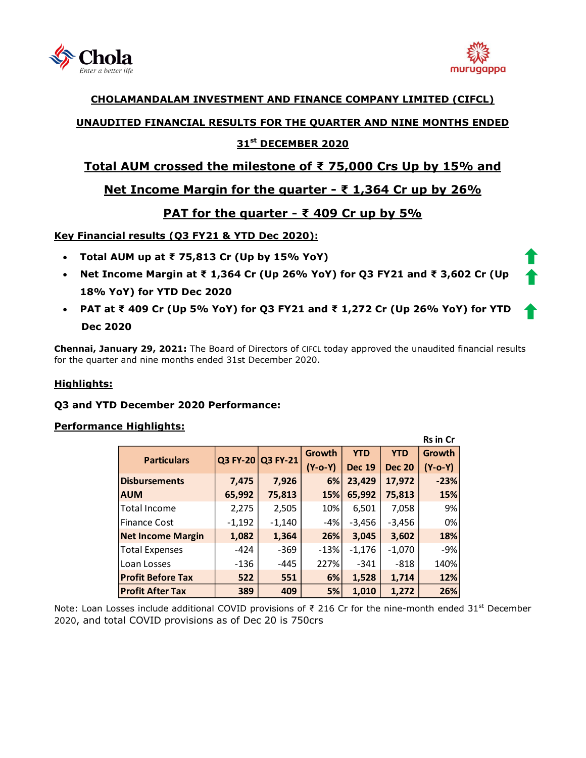



**Rs in Cr**

### **CHOLAMANDALAM INVESTMENT AND FINANCE COMPANY LIMITED (CIFCL)**

## **UNAUDITED FINANCIAL RESULTS FOR THE QUARTER AND NINE MONTHS ENDED**

## **31 st DECEMBER 2020**

# **Total AUM crossed the milestone of ₹ 75,000 Crs Up by 15% and**

# **Net Income Margin for the quarter - ₹ 1,364 Cr up by 26%**

# **PAT for the quarter - ₹ 409 Cr up by 5%**

### **Key Financial results (Q3 FY21 & YTD Dec 2020):**

- **Total AUM up at ₹ 75,813 Cr (Up by 15% YoY)**
- **Net Income Margin at ₹ 1,364 Cr (Up 26% YoY) for Q3 FY21 and ₹ 3,602 Cr (Up 18% YoY) for YTD Dec 2020**
- **PAT at ₹ 409 Cr (Up 5% YoY) for Q3 FY21 and ₹ 1,272 Cr (Up 26% YoY) for YTD Dec 2020**

**Chennai, January 29, 2021:** The Board of Directors of [CIFCL](http://www.cholamandalam.com/) today approved the unaudited financial results for the quarter and nine months ended 31st December 2020.

### **Highlights:**

### **Q3 and YTD December 2020 Performance:**

#### **Performance Highlights:**

|                          |          |                   |               |               |               | וט ווו כוו |
|--------------------------|----------|-------------------|---------------|---------------|---------------|------------|
| <b>Particulars</b>       |          | Q3 FY-20 Q3 FY-21 | <b>Growth</b> | <b>YTD</b>    | <b>YTD</b>    | Growth     |
|                          |          |                   | (Y-o-Y)       | <b>Dec 19</b> | <b>Dec 20</b> | $(Y-o-Y)$  |
| <b>Disbursements</b>     | 7,475    | 7,926             | 6%            | 23,429        | 17,972        | $-23%$     |
| <b>AUM</b>               | 65,992   | 75,813            | 15%           | 65,992        | 75,813        | 15%        |
| Total Income             | 2,275    | 2,505             | 10%           | 6,501         | 7,058         | 9%         |
| <b>Finance Cost</b>      | $-1,192$ | $-1,140$          | -4%           | $-3,456$      | $-3,456$      | 0%         |
| <b>Net Income Margin</b> | 1,082    | 1,364             | 26%           | 3,045         | 3,602         | 18%        |
| <b>Total Expenses</b>    | $-424$   | $-369$            | $-13%$        | $-1,176$      | $-1,070$      | $-9%$      |
| Loan Losses              | $-136$   | -445              | 227%          | $-341$        | $-818$        | 140%       |
| <b>Profit Before Tax</b> | 522      | 551               | 6%            | 1,528         | 1,714         | 12%        |
| <b>Profit After Tax</b>  | 389      | 409               | 5%            | 1,010         | 1,272         | 26%        |

Note: Loan Losses include additional COVID provisions of  $\bar{\tau}$  216 Cr for the nine-month ended 31<sup>st</sup> December 2020, and total COVID provisions as of Dec 20 is 750crs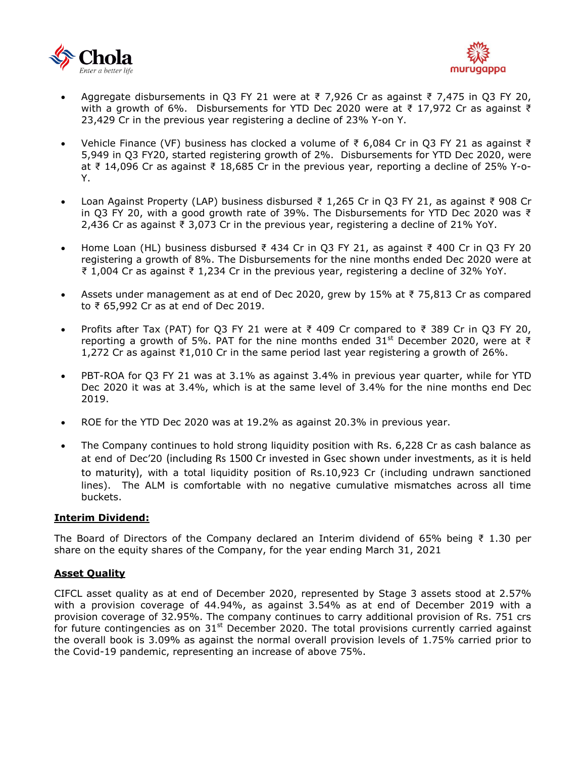



- Aggregate disbursements in Q3 FY 21 were at ₹ 7,926 Cr as against ₹ 7,475 in Q3 FY 20, with a growth of 6%. Disbursements for YTD Dec 2020 were at ₹ 17,972 Cr as against ₹ 23,429 Cr in the previous year registering a decline of 23% Y-on Y.
- Vehicle Finance (VF) business has clocked a volume of ₹ 6,084 Cr in Q3 FY 21 as against ₹ 5,949 in Q3 FY20, started registering growth of 2%. Disbursements for YTD Dec 2020, were at ₹ 14,096 Cr as against ₹ 18,685 Cr in the previous year, reporting a decline of 25% Y-o-Y.
- Loan Against Property (LAP) business disbursed ₹ 1,265 Cr in Q3 FY 21, as against ₹ 908 Cr in Q3 FY 20, with a good growth rate of 39%. The Disbursements for YTD Dec 2020 was ₹ 2,436 Cr as against ₹ 3,073 Cr in the previous year, registering a decline of 21% YoY.
- Home Loan (HL) business disbursed ₹ 434 Cr in Q3 FY 21, as against ₹ 400 Cr in Q3 FY 20 registering a growth of 8%. The Disbursements for the nine months ended Dec 2020 were at ₹ 1,004 Cr as against ₹ 1,234 Cr in the previous year, registering a decline of 32% YoY.
- Assets under management as at end of Dec 2020, grew by 15% at ₹ 75,813 Cr as compared to ₹ 65,992 Cr as at end of Dec 2019.
- Profits after Tax (PAT) for Q3 FY 21 were at ₹ 409 Cr compared to ₹ 389 Cr in Q3 FY 20, reporting a growth of 5%. PAT for the nine months ended 31<sup>st</sup> December 2020, were at ₹ 1,272 Cr as against ₹1,010 Cr in the same period last year registering a growth of 26%.
- PBT-ROA for Q3 FY 21 was at 3.1% as against 3.4% in previous year quarter, while for YTD Dec 2020 it was at 3.4%, which is at the same level of 3.4% for the nine months end Dec 2019.
- ROE for the YTD Dec 2020 was at 19.2% as against 20.3% in previous year.
- The Company continues to hold strong liquidity position with Rs. 6,228 Cr as cash balance as at end of Dec'20 (including Rs 1500 Cr invested in Gsec shown under investments, as it is held to maturity), with a total liquidity position of Rs.10,923 Cr (including undrawn sanctioned lines). The ALM is comfortable with no negative cumulative mismatches across all time buckets.

#### **Interim Dividend:**

The Board of Directors of the Company declared an Interim dividend of 65% being  $\bar{z}$  1.30 per share on the equity shares of the Company, for the year ending March 31, 2021

#### **Asset Quality**

CIFCL asset quality as at end of December 2020, represented by Stage 3 assets stood at 2.57% with a provision coverage of 44.94%, as against 3.54% as at end of December 2019 with a provision coverage of 32.95%. The company continues to carry additional provision of Rs. 751 crs for future contingencies as on  $31<sup>st</sup>$  December 2020. The total provisions currently carried against the overall book is 3.09% as against the normal overall provision levels of 1.75% carried prior to the Covid-19 pandemic, representing an increase of above 75%.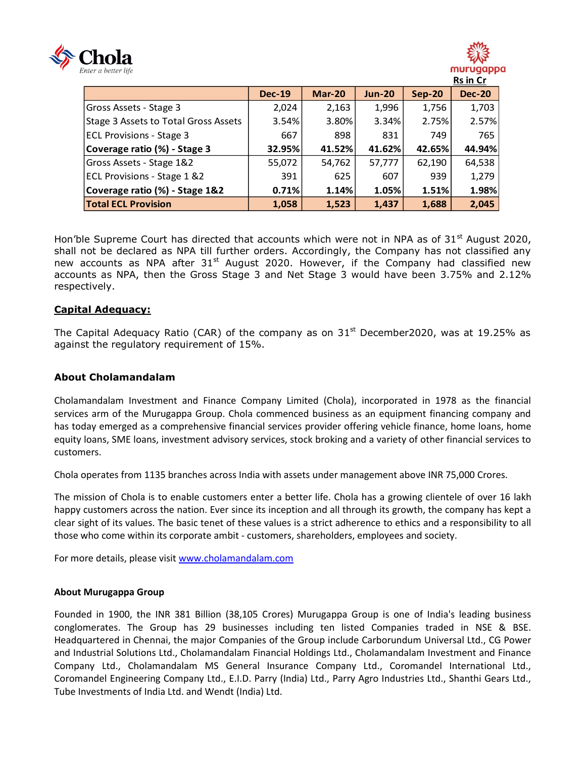



|                                      | <b>Dec-19</b> | <b>Mar-20</b> | <b>Jun-20</b> | $Sep-20$ | <b>Dec-20</b> |
|--------------------------------------|---------------|---------------|---------------|----------|---------------|
| Gross Assets - Stage 3               | 2,024         | 2,163         | 1,996         | 1,756    | 1,703         |
| Stage 3 Assets to Total Gross Assets | 3.54%         | 3.80%         | 3.34%         | 2.75%    | 2.57%         |
| <b>ECL Provisions - Stage 3</b>      | 667           | 898           | 831           | 749      | 765           |
| Coverage ratio (%) - Stage 3         | 32.95%        | 41.52%        | 41.62%        | 42.65%   | 44.94%        |
| Gross Assets - Stage 1&2             | 55,072        | 54,762        | 57,777        | 62,190   | 64,538        |
| ECL Provisions - Stage 1 &2          | 391           | 625           | 607           | 939      | 1,279         |
| Coverage ratio (%) - Stage 1&2       | 0.71%         | 1.14%         | 1.05%         | 1.51%    | 1.98%         |
| <b>Total ECL Provision</b>           | 1,058         | 1,523         | 1,437         | 1,688    | 2,045         |

Hon'ble Supreme Court has directed that accounts which were not in NPA as of  $31<sup>st</sup>$  August 2020, shall not be declared as NPA till further orders. Accordingly, the Company has not classified any new accounts as NPA after  $31^{st}$  August 2020. However, if the Company had classified new accounts as NPA, then the Gross Stage 3 and Net Stage 3 would have been 3.75% and 2.12% respectively.

#### **Capital Adequacy:**

The Capital Adequacy Ratio (CAR) of the company as on  $31<sup>st</sup>$  December2020, was at 19.25% as against the regulatory requirement of 15%.

#### **About Cholamandalam**

Cholamandalam Investment and Finance Company Limited (Chola), incorporated in 1978 as the financial services arm of the Murugappa Group. Chola commenced business as an equipment financing company and has today emerged as a comprehensive financial services provider offering vehicle finance, home loans, home equity loans, SME loans, investment advisory services, stock broking and a variety of other financial services to customers.

Chola operates from 1135 branches across India with assets under management above INR 75,000 Crores.

The mission of Chola is to enable customers enter a better life. Chola has a growing clientele of over 16 lakh happy customers across the nation. Ever since its inception and all through its growth, the company has kept a clear sight of its values. The basic tenet of these values is a strict adherence to ethics and a responsibility to all those who come within its corporate ambit - customers, shareholders, employees and society.

For more details, please visit [www.cholamandalam.com](http://www.cholamandalam.com/)

#### **About Murugappa Group**

Founded in 1900, the INR 381 Billion (38,105 Crores) Murugappa Group is one of India's leading business conglomerates. The Group has 29 businesses including ten listed Companies traded in NSE & BSE. Headquartered in Chennai, the major Companies of the Group include Carborundum Universal Ltd., CG Power and Industrial Solutions Ltd., Cholamandalam Financial Holdings Ltd., Cholamandalam Investment and Finance Company Ltd., Cholamandalam MS General Insurance Company Ltd., Coromandel International Ltd., Coromandel Engineering Company Ltd., E.I.D. Parry (India) Ltd., Parry Agro Industries Ltd., Shanthi Gears Ltd., Tube Investments of India Ltd. and Wendt (India) Ltd.